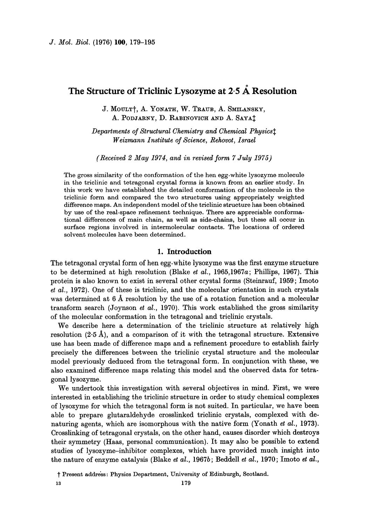# The Structure of Triclinic Lysozyme at 2.5 Å Resolution

J. MOULT<sup>†</sup>, A. YONATH, W. TRAUB, A. SMILANSKY, A. PODJARNY, D. RABINOVICH AND A. SAYAT

*Departments of Structural Chemistry and Chemical Physics~ Weizmann Institute of Science, Rehovot, Israel* 

*(Received 2 May 1974, and in revised form 7 July 1975)* 

The gross similarity of the conformation of the hen egg-white lysozyme molecule in the triclinic and tetragonal crystal forms is known from an earlier study. In this work we have established the detailed conformation of the molecule in the triclinic form and compared the two structures using appropriately weighted difference maps. An independent model of the triclinic structure has been obtained by use of the real-space refinement technique. There are appreciable conformational differences of main chain, as well as side-chains, but these all occur in surface regions involved in intermolecular contacts. The locations of ordered solvent molecules have been determined.

# 1. **Introduction**

The tetragonal crystal form of hen egg-white lysozyme was the first enzyme structure to be determined at high resolution (Blake *et al.,* 1965,1967a; Phillips, 1967). This protein is also known to exist in several other crystal forms (Steinrauf, 1959; Imoto *et al.,* 1972). One of these is triclinic, and the molecular orientation in such crystals was determined at 6 Å resolution by the use of a rotation function and a molecular transform search (Joynson *et al.,* 1970). This work established the gross similarity of the molecular conformation in the tetragonal and triclinic crystals.

We describe here a determination of the trielinic structure at relatively high resolution  $(2.5 \text{ Å})$ , and a comparison of it with the tetragonal structure. Extensive use has been made of difference maps and a refinement procedure to establish fairly precisely the differences between the triclinic crystal structure and the molecular model previously deduced from the tetragonal form. In conjunction with these, we also examined difference maps relating this model and the observed data for tetragonal lysozyme.

We undertook this investigation with several objectives in mind. First, we were interested in establishing the triclinic structure in order to study chemical complexes of lysozyme for which the tetragonal form is not suited. In particular, we have been able to prepare glutaraldehyde erosslinked triclinic crystals, eomplexed with denaturing agents, which are isomorphous with the native form (Yonath *et al.,* 1973). Crosslinking of tetragonal crystals, on the other hand, causes disorder which destroys their symmetry (Haas, personal communication). It may also be possible to extend studies of lysozyme-inhibitor complexes, which have provided much insight into the nature of enzyme catalysis (Blake *et al.,* 1967b; Beddell *et al.,* 1970; Imoto *et al.,* 

t Present address: Physics Department, University of Edinburgh, Scotland.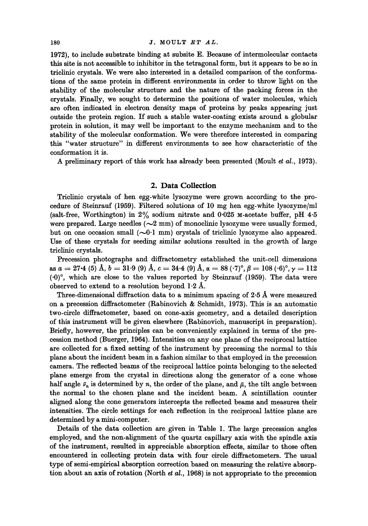1972), to include substrate binding at subsite E. Because of intermolecular contacts this site is not accessible to inhibitor in the tetragonal form, but it appears to be so in triclinic crystals. We were also interested in a detailed comparison of the conformations of the same protein in different environments in order to throw light on the stability of the molecular structure and the nature of the packing forces in the crystals. Finally, we sought to determine the positions of water molecules, which are often indicated in electron density maps of proteins by peaks appearing just outside the protein region. If such a stable water-coating exists around a globular protein in solution, it may well be important to the enzyme mechanism and to the stability of the molecular conformation. We were therefore interested in comparing this "water structure" in different environments to see how characteristic of the conformation it is.

A preliminary report of this work has already been presented (Moult *et al.,* 1973).

# **2. Data Collection**

Triclinic crystals of hen egg-white lysozyme were grown according to the procedure of Steinranf (1959). Filtered solutions of 10 mg hen egg-white lysozyme/ml (salt-free, Worthington) in  $2\%$  sodium nitrate and  $0.025$  M-acetate buffer, pH 4.5 were prepared. Large needles  $(\sim 2 \text{ mm})$  of monoclinic lysozyme were usually formed, but on one occasion small  $(-0.1 \text{ mm})$  crystals of triclinic lysozyme also appeared. Use of these crystals for seeding similar solutions resulted in the growth of large triclinic crystals.

Precession photographs and diffractometry established the unit-cell dimensions as  $a = 27.4$  (5) Å,  $b = 31.9$  (9) Å,  $c = 34.4$  (9) Å,  $\alpha = 88$  ( $\cdot 7$ )°,  $\beta = 108$  ( $\cdot 6$ )°,  $\gamma = 112$  $(0)$ °, which are close to the values reported by Steinrauf (1959). The data were observed to extend to a resolution beyond  $1.2~\text{\AA}$ .

Three-dimensional diffraction data to a minimum spacing of 2.5 A were measured on a precession diffractometer (Rabinovich & Schmidt, 1973). This is an automatic two-circle diffractometer, based on cone-axis geometry, and a detailed description of this instrument will be given elsewhere (Rabinovich, manuscript in preparation). Briefly, however, the principles can be conveniently explained in terms of the precession method (Buerger, 1964). Intensities on any one plane of the reciprocal lattice are collected for a fixed setting of the instrument by precessing the normal to this plane about the incident beam in a fashion similar to that employed in the precession camera. The reflected beams of the reciprocal lattice points belonging to the selected plane emerge from the crystal in directions along the generator of a cone whose half angle  $\bar{v}_n$  is determined by n, the order of the plane, and  $\bar{\mu}$ , the tilt angle between the normal to the chosen plane and the incident beam. A scintillation counter aligned along the cone generators intercepts the reflected beams and measures their intensities. The circle settings for each reflection in the reciprocal lattice plane are determined by a mini-computer.

Details of the data collection are given in Table 1. The large precession angles employed, and the non-alignment of the quartz capillary axis with the spindle axis of the instrument, resulted in appreciable absorption effects, similar to those often encountered in collecting protein data with four circle diffractometers. The usual type of semi-empirical absorption correction based on measuring the relative absorption about an axis of rotation (North et *al.,* 1968) is not appropriate to the precession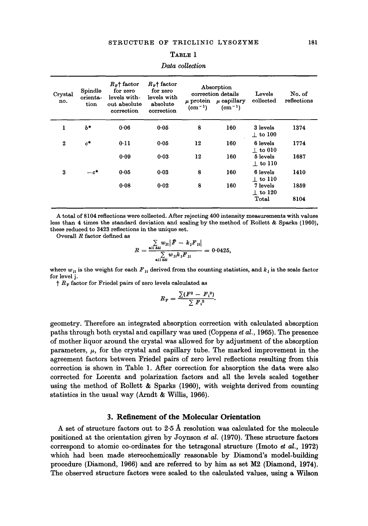| Crystal<br>no.   | Spindle<br>orienta-<br>tion | $R_F$ <sup>+</sup> factor<br>for zero<br>levels with-<br>out absolute<br>correction | $R_{\rm F}$ factor<br>for zero<br>levels with<br>absolute<br>correction | $(cm-1)$ | Absorption<br>correction details<br>$\mu$ protein $\mu$ capillary<br>$(cm^{-1})$ | Levels<br>collected        | No. of<br>reflections |
|------------------|-----------------------------|-------------------------------------------------------------------------------------|-------------------------------------------------------------------------|----------|----------------------------------------------------------------------------------|----------------------------|-----------------------|
| ı                | $b*$                        | 0.06                                                                                | 0.05                                                                    | 8        | 160                                                                              | 3 levels<br>$\perp$ to 100 | 1374                  |
| $\boldsymbol{2}$ | $c^*$                       | 0.11                                                                                | 0.05                                                                    | 12       | 160                                                                              | 6 levels<br>$\pm$ to 010   | 1774                  |
|                  |                             | 0.09                                                                                | 0.03                                                                    | 12       | 160                                                                              | 5 levels<br>$\pm$ to 110   | 1687                  |
| 3                | $-c^*$                      | 0.05                                                                                | 0.03                                                                    | 8        | 160                                                                              | 6 levels<br>$\pm$ to 110   | 1410                  |
|                  |                             | 0.08                                                                                | 0.02                                                                    | 8        | 160                                                                              | 7 levels<br>$\perp$ to 120 | 1859                  |
|                  |                             |                                                                                     |                                                                         |          |                                                                                  | Total                      | 8104                  |

#### *Data collection*

A total of 8104 reflections were collected. After rejecting 400 intensity measurements with values less than 4 times the standard deviation and scaling by the method of Rollett & Sparks (1960), these reduced to 3423 reflections in the unique set.

Overall R factor defined as

$$
R = \frac{\sum\limits_{\text{all } hkl} w_{11} |\bar{F} - k_1 F_{11}|}{\sum\limits_{\text{all } hkl} w_{11} k_1 F_{11}} = 0.0425,
$$

where  $w_{ji}$  is the weight for each  $F_{ji}$  derived from the counting statistics, and  $k_j$  is the scale factor for level j.

 $\uparrow$  R<sub>F</sub> factor for Friedel pairs of zero levels calculated as

$$
R_{\rm F} = \frac{\sum (F^2 - F_1^2)}{\sum F_1^2}.
$$

geometry. Therefore an integrated absorption correction with calculated absorption paths through both crystal and capillary was used (Coppens et *al.,* 1965). The presence of mother liquor around the crystal was allowed for by adjustment of the absorption parameters,  $\mu$ , for the crystal and capillary tube. The marked improvement in the agreement factors between Friedel pairs of zero level reflections resulting from this correction is shown in Table 1. After correction for absorption the data were also corrected for Lorentz and polarization factors and all the levels scaled together using the method of Rollett & Sparks (1960), with weights derived from counting statistics in the usual way (Arndt & Willis, 1966).

# **3. Refinement of the Molecular Orientation**

A set of structure factors out to 2.5 A resolution was calculated for the molecule positioned at the orientation given by Joynson *et al.* (1970). These structure factors correspond to atomic co-ordinates for the tetragonal structure (Imoto et *al.,* 1972) which had been made stereochemieally reasonable by Diamond's model-building procedure (Diamond, 1966) and are referred to by him as set M2 (Diamond, 1974). The observed structure factors were scaled to the calculated values, using a Wilson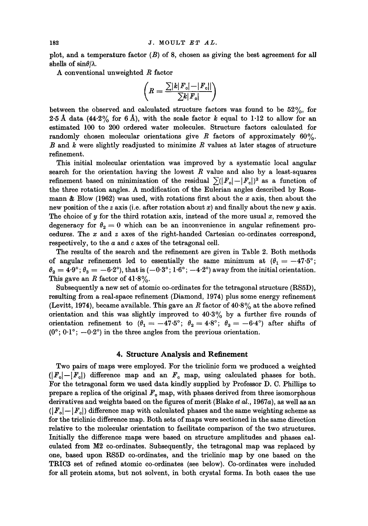plot, and a temperature factor  $(B)$  of 8, chosen as giving the best agreement for all shells of  $sin\theta/\lambda$ .

A conventional unweighted R factor

$$
\left(R = \frac{\sum |k|F_o|-|F_o||}{\sum k|F_o|}\right)
$$

between the observed and calculated structure factors was found to be  $52\%$ , for 2.5 Å data (44.2% for 6 Å), with the scale factor k equal to 1.12 to allow for an estimated 100 to 200 ordered water molecules. Structure factors calculated for randomly chosen molecular orientations give R factors of approximately  $60\%$ . B and k were slightly readjusted to minimize R values at later stages of structure refinement.

This initial molecular orientation was improved by a systematic local angular search for the orientation having the lowest  $R$  value and also by a least-squares refinement based on minimization of the residual  $\sum (|F_o|-|F_e|)^2$  as a function of the three rotation angles. A modification of the Eulerian angles described by Rossmann  $\&$  Blow (1962) was used, with rotations first about the x axis, then about the new position of the z axis (i.e. after rotation about x) and finally about the new y axis. The choice of  $y$  for the third rotation axis, instead of the more usual x, removed the degeneracy for  $\theta_2 = 0$  which can be an inconvenience in angular refinement procedures. The  $x$  and  $z$  axes of the right-handed Cartesian co-ordinates correspond, respectively, to the a and c axes of the tetragonal cell.

The results of the search and the refinement are given in Table 2. Both methods of angular refinement led to essentially the same minimum at  $(\theta_1 = -47.5^{\circ})$ ;  $\theta_2 = 4.9^\circ$ ;  $\theta_3 = -6.2^\circ$ ), that is  $(-0.3^\circ; 1.6^\circ; -4.2^\circ)$  away from the initial orientation. This gave an R factor of  $41.8\%$ .

Subsequently a new set of atomic co-ordinates for the tetragonal structure (RS5D), resulting from a real-space refinement (Diamond, 1974) plus some energy refinement (Levitt, 1974), became available. This gave an R factor of 40.8% at the above refined orientation and this was slightly improved to  $40.3\%$  by a further five rounds of orientation refinement to  $(\theta_1 = -47.5^\circ; \ \theta_2 = 4.8^\circ; \ \theta_3 = -6.4^\circ)$  after shifts of  $(0^{\circ}; 0.1^{\circ}; -0.2^{\circ})$  in the three angles from the previous orientation.

## **4. Structure Analysis and Refinement**

Two pairs of maps were employed. For the triclinic form we produced a weighted  $(|F_{o}|-|F_{o}|)$  difference map and an  $F_{o}$  map, using calculated phases for both. For the tetragonal form we used data kindly supplied by Professor D. C. Phillips to prepare a replica of the original  $F_o$  map, with phases derived from three isomorphous derivatives and weights based on the figures of merit (Blake et *hi.,* 1967a), as well as an  $(|F_{o}|-|F_{o}|)$  difference map with calculated phases and the same weighting scheme as for the triclinic difference map. Both sets of maps were sectioned in the same direction relative to the molecular orientation to facilitate comparison of the two structures. Initially the difference maps were based on structure amplitudes and phases calculated from M2 co-ordinates. Subsequently, the tetragonal map was replaced by one, based upon RS5D co-ordinates, and the triclinic map by one based on the TRIC3 set of refined atomic co-ordinates (see below). Co-ordinates were included for all protein atoms, but not solvent, in both crystal forms. In both cases the use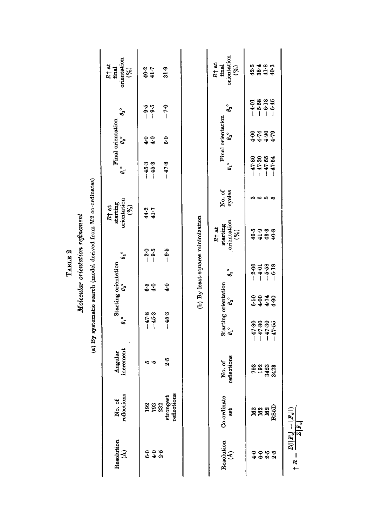Molecular orientation refinement

p.

| Resolution<br>હો   | No. of<br>reflections                                                                          | increment<br>Angular  | $\theta_1$ °         | Starting orientation<br>$\theta_2$         |                    | $\theta_3^{\circ}$                         | orientation<br>starting<br>$R+$ at<br>(%) | $\theta_1$ °         | Final orientation<br>$\mathfrak{g}^{\circ}$ | $\theta_3^{\circ}$                        | orientation<br>$R^+$ at<br>final<br>$\mathcal{S}$ |
|--------------------|------------------------------------------------------------------------------------------------|-----------------------|----------------------|--------------------------------------------|--------------------|--------------------------------------------|-------------------------------------------|----------------------|---------------------------------------------|-------------------------------------------|---------------------------------------------------|
| ဝဝဝ<br>စစ်ဆ        | <b>0282</b><br>282                                                                             | 10 IQ                 | $-47.8$<br>$-45.3$   | 4.0<br>6.5                                 |                    | $-2.5$<br>$-9.5$                           | $44.7$<br>41.7                            | $-45.3$<br>$-45.3$   | 4.0<br>$\ddot{q}$                           | $-9.5$<br>$-9.6$                          | $40.2$<br>$41.7$                                  |
|                    | reflections<br>strongest                                                                       | 2.5                   | $-45.3$              | $\ddot{ }$                                 |                    | $-9.5$                                     |                                           | $-47.8$              | $\ddot{5}$                                  | $-7.0$                                    | 31.9                                              |
|                    |                                                                                                |                       |                      |                                            |                    | (b) By least-squares minimization          |                                           |                      |                                             |                                           |                                                   |
| Resolution<br>હો   | Co-ordinate<br>set                                                                             | No. of<br>reflections | $\theta_1$ °         | Starting orientation<br>$\theta_2^{\circ}$ | $\theta_3$ °       | orientation<br>starting<br>$R^+$ at<br>(%) | No. of<br>cycles                          | $\theta_1^{\circ}$   | Final orientation<br>$e_{\rm a}^{\rm o}$    | $\theta_3$ °                              | orientation<br>$R^+$ at<br>final<br>જી            |
|                    | <b>222</b><br>222                                                                              | <b>793</b><br>192     | $-47.80$             | 5-50<br>5-4<br>5-4                         | $-2.00$            | 553<br>\$43                                | ကဗယက                                      | $-47.80$             | <b>0486</b><br>9444                         | $-1.38$<br>$-1.645$<br>$-6.38$<br>$-6.45$ | 42.5                                              |
|                    |                                                                                                |                       |                      |                                            |                    |                                            |                                           | $-47.30$<br>$-47.55$ |                                             |                                           |                                                   |
| o o p p<br>4 o a a |                                                                                                | 1423                  | $-47.80$<br>$-47.30$ |                                            | $-4.01$<br>$-5.58$ |                                            |                                           |                      |                                             |                                           | 3848<br>3493<br>40-3                              |
|                    | RS5D                                                                                           | 1423                  | $-47.55$             | 6.4                                        | 6.18               | 40.8                                       |                                           | $-47.54$             |                                             |                                           |                                                   |
| $\dagger$ R =      | $Z(\left\Vert F_{\text{o}}\right\Vert -\left\Vert F_{\text{o}}\right\Vert )$<br>$Z F_{\rm o} $ |                       |                      |                                            |                    |                                            |                                           |                      |                                             |                                           |                                                   |
|                    |                                                                                                |                       |                      |                                            |                    |                                            |                                           |                      |                                             |                                           |                                                   |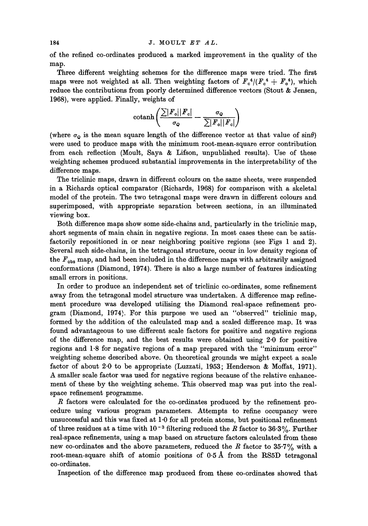of the refined co-ordinates produced a marked improvement in the quality of the map.

Three different weighting schemes for the difference maps were tried. The first maps were not weighted at all. Then weighting factors of  $F_c^4/(F_c^4 + F_o^4)$ , which reduce the contributions from poorly determined difference vectors (Stout & Jensen, 1968), were applied. Finally, weights of

$$
\text{cotanh}\left(\frac{\sum |F_\text{o}||F_\text{o}|}{\sigma_\text{o}}-\frac{\sigma_\text{o}}{\sum |F_\text{o}||F_\text{o}|}\right)
$$

(where  $\sigma_{\mathcal{Q}}$  is the mean square length of the difference vector at that value of sin $\theta$ ) were used to produce maps with the minimum root-mean-square error contribution from each reflection (Moult, Saya & Lifson, unpublished results). Use of these weighting schemes produced substantial improvements in the interpretability of the difference maps.

The triclinic maps, drawn in different colours on the same sheets, were suspended in a Richards optical comparator (Richards, 1968) for comparison with a skeletal model of the protein. The two tetragonal maps were drawn in different colours and superimposed, with appropriate separation between sections, in an illuminated viewing box.

Both difference maps show some side-chains and, particularly in the triclinic map, short segments of main chain in negative regions. In most cases these can be satisfactorily repositioned in or near neighboring positive regions (see Figs 1 and 2). Several such side-chains, in the tetragonal structure, occur in low density regions of the  $F_{\text{obs}}$  map, and had been included in the difference maps with arbitrarily assigned conformations (Diamond, 1974). There is also a large number of features indicating small errors in positions.

In order to produce an independent set of triclinic co-ordinates, some refinement away from the tetragonal model structure was undertaken. A difference map refinement procedure was developed utilising the Diamond real-space refinement program (Diamond, 1974). For this purpose we used an "observed" tricllnic map, formed by the addition of the calculated map and a scaled difference map. It was found advantageous to use different scale factors for positive and negative regions of the difference map, and the best results were obtained using 2.0 for positive regions and 1-8 for negative regions of a map prepared with the "minimum error" weighting scheme described above. On theoretical grounds we might expect a scale factor of about 2-0 to be appropriate (Luzzati, 1953; Henderson & Moffat, 1971). A smaller scale factor was used for negative regions because of the relative enhancement of these by the weighting scheme. This observed map was put into the realspace refinement programme.

R factors were calculated for the co-ordinates produced by the refinement procedure using various program parameters. Attempts to refine occupancy were unsuccessful and this was fixed at 1.0 for all protein atoms, but positional refinement of three residues at a time with  $10^{-3}$  filtering reduced the R factor to 36.3%. Further real-space refinements, using a map based on structure factors calculated from these new co-ordinates and the above parameters, reduced the  $R$  factor to  $35.7\%$  with a root-mean-square shift of atomic positions of  $0.5\text{ Å}$  from the RS5D tetragonal co-ordinates.

Inspection of the difference map produced from these co-ordinates showed that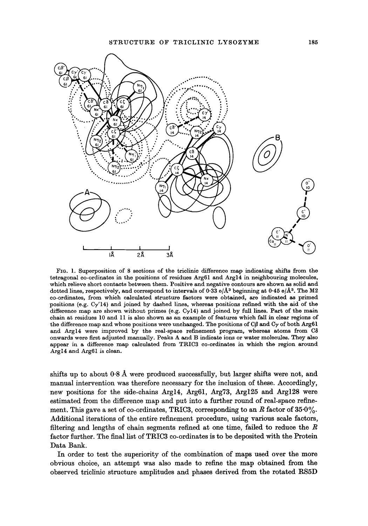

FIG. 1. Superposition of 8 sections of the triclinie difference map indicating shifts from the tetragonal co-ordinates in the positions of residues Arg61 and Argl4 in neighbouring molecules, which relieve short contacts between them. Positive and negative contours are shown as solid and dotted lines, respectively, and correspond to intervals of 0.33 e/ $\AA^3$  beginning at 0.45 e/ $\AA^3$ . The M2 co-ordinates, from which calculated structure factors were obtained, are indicated as primed positions (e.g.  $Cy'14$ ) and joined by dashed lines, whereas positions refined with the aid of the difference map are shown without primes (e.g.  $Cy14$ ) and joined by full lines. Part of the main chain at residues 10 and 11 is also shown as an example of features which fall in clear regions of the difference map and whose positions were unchanged. The positions of  $C\beta$  and  $C\gamma$  of both Arg61 and Argl4 were improved by the real-space refinement program, whereas atoms from C8 onwards were first adjusted manually. Peaks A and B indicate ions or water molecules. They also appear in a difference map calculated from TRIC3 co-ordinates in which the region around Argl4 and Arg61 is clean.

shifts up to about  $0.8~\text{\AA}$  were produced successfully, but larger shifts were not, and manual intervention was therefore necessary for the inclusion of these. Accordingly, new positions for the side-chains Argl4, Arg61, Arg73, Arg125 and Arg128 were estimated from the difference map and put into a further round of real-space refinement. This gave a set of co-ordinates, TRIC3, corresponding to an R factor of  $35.0\%$ . Additional iterations of the entire refinement procedure, using various scale factors, filtering and lengths of chain segments refined at one time, failed to reduce the  $R$ factor further. The final list of TRIC3 co-ordinates is to be deposited with the Protein Data Bank.

In order to test the superiority of the combination of maps used over the more obvious choice, an attempt was also made to refine the map obtained from the observed tricllnic structure amplitudes and phases derived from the rotated RS5D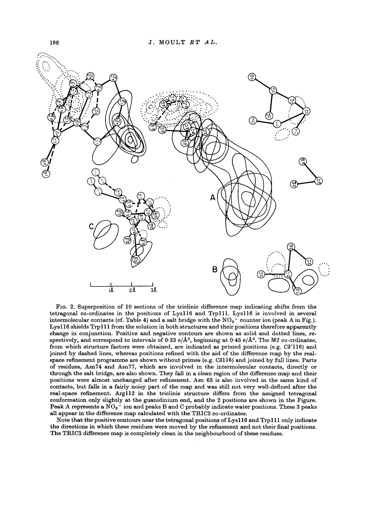

FIG. 2. Superposition of 10 sections of the triclinic difference map indicating shifts from the tetragonal co-ordinates in the positions of Lysll6 and Trp111. Lysll6 is involved in several intermolecular contacts (cf. Table 4) and a salt bridge with the  $NO<sub>3</sub>$  counter ion (peak A in Fig.). Lys116 shields Trp111 from the solution in both structures and their positions therefore apparently change in conjunction. Positive and negative contours are shown as solid and dotted lines, respectively, and correspond to intervals of 0.33 e/ $\AA^3$ , beginning at 0.45 e/ $\AA^3$ . The M2 co-ordinates, from which structure factors were obtained, are indicated as primed positions (e.g. C8'116) and joined by dashed lines, whereas positions refined with the aid of the difference map by the realspace refinement programme are shown without primes (e.g. C8116) and joined by full lines. Parts of residues, Asn74 and Asn77, which are involved in the intermoleeular contacts, directly or through the salt bridge, are also shown. They fall in a clean region of the difference map and their positions were almost unchanged after refinement. Asn 65 is also involved in the same kind of contacts, but falls in a fairly noisy part of the map and was still not very well-defined after the real-space refinement. Argl12 in the triclinic structure differs from the assigned tetragonal conformation only slightly at the guanidinium end, and the 2 positions are shown in the Figure. Peak A represents a  $NO_3^-$  ion and peaks B and C probably indicate water positions. These 3 peaks all appear in the difference map calculated with the TRIC3 co-ordinates.

Note that the positive contours near the tetragonal positions of Lys116 and Trp111 only indicate the directions in which these residues were moved by the refinement and not their final positions. The TRIC3 difference map is completely clean in the neighbourhood of these residues.

186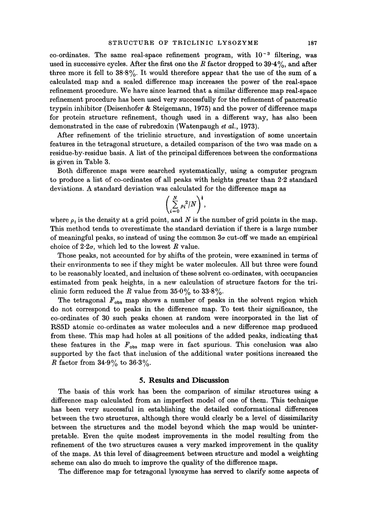co-ordinates. The same real-space refinement program, with  $10^{-3}$  filtering, was used in successive cycles. After the first one the R factor dropped to  $39.4\%$ , and after three more it fell to  $38.8\%$ . It would therefore appear that the use of the sum of a calculated map and a scaled difference map increases the power of the real-space refinement procedure. We have since learned that a similar difference map real-space refinement procedure has been used very successfully for the refinement of pancreatic trypsin inhibitor (Deisenhofer & Steigemarm, 1975) and the power of difference maps for protein structure refinement, though used in a different way, has also been demonstrated in the case of rubredoxin (Watenpaugh *et al.,* 1973).

After refinement of the trielinic structure, and investigation of some uncertain features in the tetragonal structure, a detailed comparison of the two was made on a residue-by-residue basis. A list of the principal differences between the conformations is given in Table 3.

Both difference maps were searched systematically, using a computer program to produce a list of co-ordinates of all peaks with heights greater than 2.2 standard deviations. A standard deviation was calculated for the difference maps as

$$
\left(\sum_{i=0}^N \rho_i^2/N\right)^{\frac{1}{2}},
$$

where  $\rho_i$  is the density at a grid point, and N is the number of grid points in the map. This method tends to overestimate the standard deviation if there is a large number of meaningful peaks, so instead of using the common 3a cut-off we made an empirical choice of  $2.2\sigma$ , which led to the lowest R value.

Those peaks, not accounted for by shifts of the protein, were examined in terms of their environments to see if they might be water molecules. All but three were found to be reasonably located, and inclusion of these solvent co-ordinates, with occupancies estimated from peak heights, in a new calculation of structure factors for the triclinic form reduced the R value from  $35.0\%$  to  $33.8\%$ .

The tetragonal  $F_{\text{obs}}$  map shows a number of peaks in the solvent region which do not correspond to peaks in the difference map. To test their significance, the co-ordinates of 30 such peaks chosen at random were incorporated in the list of RSSD atomic co-ordinates as water molecules and a new difference map produced from these. This map had holes at all positions of the added peaks, indicating that these features in the  $F_{obs}$  map were in fact spurious. This conclusion was also supported by the fact that inclusion of the additional water positions increased the R factor from  $34.9\%$  to  $36.3\%$ .

#### **5. Results and Discussion**

The basis of this work has been the comparison of similar structures using a difference map calculated from an imperfect model of one of them. This technique has been very successful in establishing the detailed conformational differences between the two structures, although there would clearly be a level of dissimilarity between the structures and the model beyond which the map would be uninterpretable. Even the quite modest improvements in the model resulting from the refinement of the two structures causes a very marked improvement in the quality of the maps. At this level of disagreement between structure and model a weighting scheme can also do much to improve the quality of the difference maps.

The difference map for tetragonal lysozyme has served to clarify some aspects of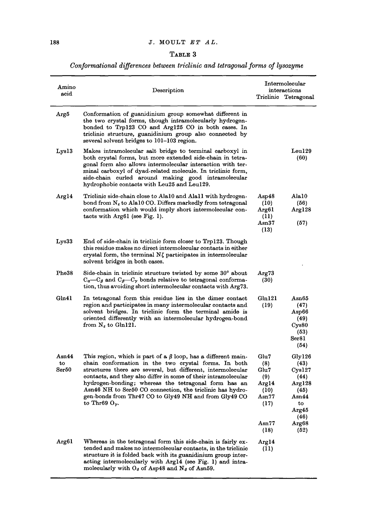# *TABT,~, 3*

# *Conformational differences between triclinic and tetragonal forms of lysozYme*

| Amino<br>acid               | Description                                                                                                                                                                                                                                                                                                                                                                                                                                                                    |                                                                                          | Intermolecular<br>interactions<br>Triclinic Tetragonal                                                          |
|-----------------------------|--------------------------------------------------------------------------------------------------------------------------------------------------------------------------------------------------------------------------------------------------------------------------------------------------------------------------------------------------------------------------------------------------------------------------------------------------------------------------------|------------------------------------------------------------------------------------------|-----------------------------------------------------------------------------------------------------------------|
| Argõ                        | Conformation of guanidinium group somewhat different in<br>the two crystal forms, though intramolecularly hydrogen-<br>bonded to Trp123 CO and Arg125 CO in both cases. In<br>triclinic structure, guanidinium group also connected by<br>several solvent bridges to 101-103 region.                                                                                                                                                                                           |                                                                                          |                                                                                                                 |
| Lys13                       | Makes intramolecular salt bridge to terminal carboxyl in<br>both crystal forms, but more extended side-chain in tetra-<br>gonal form also allows intermolecular interaction with ter-<br>minal carboxyl of dyad-related molecule. In triclinic form,<br>side-chain curled around making good intramolecular<br>hydrophobic contacts with Leu25 and Leu129.                                                                                                                     |                                                                                          | Leu129<br>(60)                                                                                                  |
| Arg14                       | Triclinic side-chain close to Ala10 and Ala11 with hydrogen-<br>bond from $N_{\varepsilon}$ to Ala10 CO. Differs markedly from tetragonal<br>conformation which would imply short intermolecular con-<br>tacts with $Arg61$ (see Fig. 1).                                                                                                                                                                                                                                      | ${\tt Asp48}$<br>(10)<br>Arg61<br>(11)<br>$_{\rm Asn37}$<br>(13)                         | Ala10<br>(56)<br>Arg128<br>(57)                                                                                 |
| Lys33                       | End of side-chain in triclinic form closer to Trp123. Though<br>this residue makes no direct intermolecular contacts in either<br>crystal form, the terminal $N\zeta$ participates in intermolecular<br>solvent bridges in both cases.                                                                                                                                                                                                                                         |                                                                                          |                                                                                                                 |
| Phe38                       | Side-chain in triclinic structure twisted by some 30° about<br>$C_a-C_\beta$ and $C_\beta-C_\gamma$ bonds relative to tetragonal conforma-<br>tion, thus avoiding short intermolecular contacts with Arg73.                                                                                                                                                                                                                                                                    | Arg73<br>(30)                                                                            |                                                                                                                 |
| Gln41                       | In tetragonal form this residue lies in the dimer contact<br>region and participates in many intermolecular contacts and<br>solvent bridges. In triclinic form the terminal amide is<br>oriented differently with an intermolecular hydrogen-bond<br>from $N_{\varepsilon}$ to Gln121.                                                                                                                                                                                         | Gln121<br>(19)                                                                           | Asn65<br>(47)<br>Asp66<br>(49)<br>Cys80<br>(53)<br>Ser81<br>(54)                                                |
| $\bf{Asn44}$<br>to<br>8er50 | This region, which is part of a $\beta$ loop, has a different main-<br>chain conformation in the two crystal forms. In both<br>structures there are several, but different, intermolecular<br>contacts, and they also differ in some of their intramolecular<br>hydrogen-bonding; whereas the tetragonal form has an<br>Asn46 NH to Ser50 CO connection, the triclinic has hydro-<br>gen-bonds from Thr47 CO to Gly49 NH and from Gly49 CO<br>to Throy $\mathbf{U}_{\gamma}$ . | Glu7<br>(8)<br>Glu7<br>(9)<br>Arg14<br>(10)<br>$\mathtt{Asn77}$<br>(17)<br>Asn77<br>(18) | Gly126<br>(43)<br>C <sub>ys127</sub><br>(44)<br>Arg128<br>(45)<br>Asn44<br>to<br>Arg45<br>(46)<br>Arg68<br>(52) |
| Arg61                       | Whereas in the tetragonal form this side-chain is fairly ex-<br>tended and makes no intermolecular contacts, in the triclinic<br>structure it is folded back with its guanidinium group inter-<br>acting intermolecularly with Arg14 (see Fig. 1) and intra-<br>molecularly with $O_{\delta}$ of Asp48 and N <sub><math>\delta</math></sub> of Asn59.                                                                                                                          | Arg14<br>(11)                                                                            |                                                                                                                 |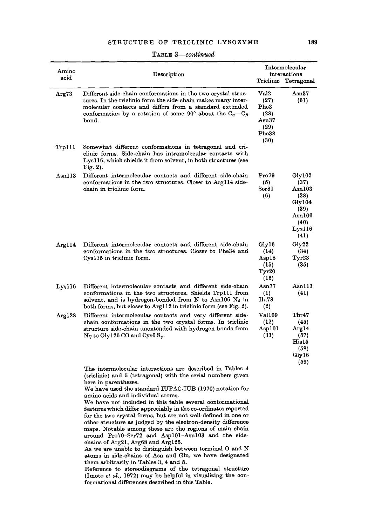| Amino<br>acid | Description                                                                                                                                                                                                                                                     |                                                                                     | Intermolecular<br>interactions<br>Triclinic Tetragonal                                 |
|---------------|-----------------------------------------------------------------------------------------------------------------------------------------------------------------------------------------------------------------------------------------------------------------|-------------------------------------------------------------------------------------|----------------------------------------------------------------------------------------|
| Arg73         | Different side-chain conformations in the two crystal struc-<br>tures. In the triclinic form the side-chain makes many inter-<br>molecular contacts and differs from a standard extended<br>conformation by a rotation of some 90° about the $C_a-C_a$<br>bond. | Val <sub>2</sub><br>(27)<br>Phe3<br>(28)<br>$_{\rm Asn37}$<br>(29)<br>Phe38<br>(30) | Asn37<br>(61)                                                                          |
| Trp111        | Somewhat different conformations in tetragonal and tri-<br>clinic forms. Side-chain has intramolecular contacts with<br>Lys116, which shields it from solvent, in both structures (see<br>Fig. $2$ ).                                                           |                                                                                     |                                                                                        |
| Asn113        | Different intermolecular contacts and different side-chain<br>conformations in the two structures. Closer to Arg114 side-<br>chain in triclinic form.                                                                                                           | Pro79<br>(5)<br>Ser <sub>81</sub><br>(6)                                            | Gly102<br>(37)<br>Asn103<br>(38)<br>Gly104<br>(39)<br>Asn106<br>(40)<br>Lys116<br>(41) |
| Arg $114$     | Different intermolecular contacts and different side-chain<br>conformations in the two structures. Closer to Phe34 and<br>Cys115 in triclinic form.                                                                                                             | Gly16<br>(14)<br>Asp18<br>(15)<br>Tyr20<br>(16)                                     | Gly22<br>(34)<br>Tyr23<br>(35)                                                         |
| Lys116        | Different intermolecular contacts and different side-chain<br>conformations in the two structures. Shields Trp111 from<br>solvent, and is hydrogen-bonded from N to Asn106 $N_{\delta}$ in<br>both forms, but closer to Arg112 in triclinic form (see Fig. 2).  | Asn77<br>(1)<br>Ilu78<br>(2)                                                        | Asn113<br>(41)                                                                         |
| Arg128        | Different intermolecular contacts and very different side-<br>chain conformations in the two crystal forms. In triclinic<br>structure side-chain unextended with hydrogen bonds from<br>$N\eta$ to Gly126 CO and Cys6 S <sub>y</sub> .                          | Val109<br>(12)<br>Asp101<br>(33)                                                    | Thr47<br>(45)<br>Arg14<br>(57)<br>His15<br>(58)<br>Gly16<br>(59)                       |
|               | The intermolecular interactions are described in Tables 4<br>(triclinic) and 5 (tetragonal) with the serial numbers given                                                                                                                                       |                                                                                     |                                                                                        |

**TABLe.** *3--continued* 

here in parentheses. We have used the standard IUPAC-IUB (1970) notation for amino acids and individual atoms.

We have not included in this table several conformational features which differ appreciably in the co-ordinates reported for the two crystal forms, but are not well-defined in one or other structure as judged by the electron-density difference maps. Notable among these are the regions of main chain around Pro70-Ser72 and Aspl01-Asnl03 and the sidechains of Arg21, Arg68 and Arg125.

As we are unable to distinguish between terminal O and N atoms in side-chains of Asn and Gln, we have designated them arbitrarily in Tables 3, 4 and 5.

Reference to stereodiagrams of the tetragonal structure (Imoto et al., 1972) may be helpful in visualizing the conformational differences described in this Table.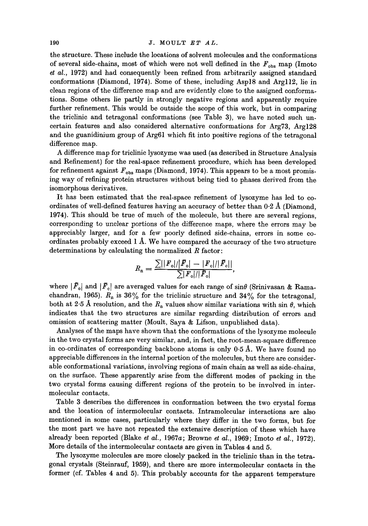the structure. These include the locations of solvent molecules and the conformations of several side-chains, most of which were not well defined in the  $F_{obs}$  map (Imoto et al., 1972) and had consequently been refined from arbitrarily assigned standard conformations (Diamond, 1974). Some of these, including Aspl8 and Argll2, lie in clean regions of the difference map and are evidently close to the assigned conformations. Some others lie partly in strongly negative regions and apparently require further refinement. This would be outside the scope of this work, but in comparing the triclinic and tetragonal conformations (see Table 3), we have noted such uncertain features and also considered alternative conformations for Arg73, Arg128 and the guanidinium group of Arg61 which fit into positive regions of the tetragonal difference map.

A difference map for triclinic lysozyme was used (as described in Structure Analysis and Refinement) for the real-space refinement procedure, which has been developed for refinement against  $F_{obs}$  maps (Diamond, 1974). This appears to be a most promising way of refining protein structures without being tied to phases derived from the isomorphous derivatives.

It has been estimated that the real-space refinement of lysozyme has led to coordinates of well-defined features having an accuracy of better than 0.2 A (Diamond, 1974). This should be true of much of the molecule, but there are several regions, corresponding to unclear portions of the difference maps, where the errors may be appreciably larger, and for a few poorly defined side-chains, errors in some coordinates probably exceed  $1 \text{ Å}$ . We have compared the accuracy of the two structure determinations by calculating the normalized  $R$  factor:

$$
R_{\rm n} = \frac{\sum ||F_{\rm o}|/|\bar{F}_{\rm o}| - |F_{\rm c}|/|\bar{F}_{\rm o}|}{\sum |F_{\rm o}|/|\bar{F}_{\rm o}|},
$$

where  $|\bar{F}_{o}|$  and  $|\bar{F}_{c}|$  are averaged values for each range of sin $\theta$  (Srinivasan & Ramachandran, 1965).  $R_n$  is 36% for the triclinic structure and 34% for the tetragonal, both at 2.5 Å resolution, and the  $R_{n}$  values show similar variations with sin  $\theta$ , which indicates that the two structures are similar regarding distribution of errors and omission of scattering matter (Moult, Saya & Lifson, unpublished data).

Analyses of the maps have shown that the conformations of the lysozyme molecule in the two crystal forms are very similar, and, in fact, the root-mean-square difference in co-ordinates of corresponding backbone atoms is only  $0.5~\text{\AA}$ . We have found no appreciable differences in the internal portion of the molecules, but there are considerable conformational variations, involving regions of main chain as well as side-chains, on the surface. These apparently arise from the different modes of packing in the two crystal forms causing different regions of the protein to be involved in intermolecular contacts.

Table 3 describes the differences in conformation between the two crystal forms and the location of intermolecular contacts. Intramolecular interactions are also mentioned in some cases, particularly where they differ in the two forms, but for the most part we have not repeated the extensive description of these which have already been reported (Blake *et al.,* 1967a; Browne *et al.,* 1969; Imoto *et al.,* 1972). More details of the intermolecular contacts are given in Tables 4 and 5.

The lysozyme molecules are more closely packed in the triclinic than in the tetragonal crystals (Steinranf, 1959), and there are more intermolecular contacts in the former (cf. Tables 4 and 5). This probably accounts for the apparent temperature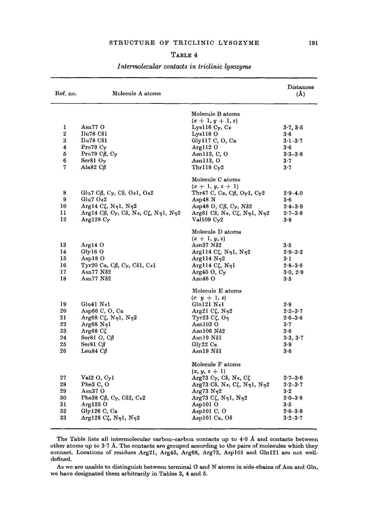| Ref. no.       | Molecule A atoms                                                                                                             |                                                                      | Distances<br>(A) |
|----------------|------------------------------------------------------------------------------------------------------------------------------|----------------------------------------------------------------------|------------------|
|                |                                                                                                                              | Molecule B atoms                                                     |                  |
|                |                                                                                                                              | $(x + 1, y + 1, z)$                                                  |                  |
| 1              | Asn $770$                                                                                                                    | Lysll6 $C_{\gamma}$ , $C_{\epsilon}$                                 | 3.7, 3.5         |
| $\overline{2}$ | Πu78 Cδ1                                                                                                                     | Lys1160                                                              | 3.6              |
| 3              | $\rm Ilu78$ C $\delta$ l                                                                                                     | Gly117 C, O, C $\alpha$                                              | $3.1 - 3.7$      |
| 4              | Pro79 $C_{\gamma}$                                                                                                           | Argl $120$                                                           | $3-6$            |
| 5              | Pro79 $C\beta$ , $C\gamma$                                                                                                   | Asn113, $C$ , $O$                                                    | $3.3 - 3.8$      |
| 6              | Ser $810y$                                                                                                                   | Asn113, O                                                            | 3.7              |
| 7              | Ala82 $C\beta$                                                                                                               | Thr118 $C_{\gamma}2$                                                 | $3-7$            |
|                |                                                                                                                              | Molecule C atoms                                                     |                  |
|                |                                                                                                                              | $(x + 1, y, z + 1)$                                                  |                  |
| 8              | Glu7 C $\beta$ , C $\gamma$ , C $\delta$ , O $\epsilon$ 1, O $\epsilon$ 2                                                    | Thr47 C, C $\alpha$ , C $\beta$ , O $\gamma$ 1, C $\gamma$ 2         | $2.9 - 4.0$      |
| 9              | Glu7 $O\epsilon^2$                                                                                                           | Asp48 N                                                              | 3·6              |
| 10             | Arg14 Cζ, Nη1, Nη2                                                                                                           | Asp48 O, C $\beta$ , C <sub><math>\gamma</math></sub> , N $\delta$ 2 | $2 - 3 - 9$      |
| 11             | Arg14 Cβ, Cγ, Cδ, Nε, Cζ, Nηl, Nη2                                                                                           | Arg61 Cô, N $\epsilon$ , Cζ, N $\eta$ 1, N $\eta$ 2                  | $2.7 - 3.8$      |
| 12             | Arg128 $C_{\gamma}$                                                                                                          | Val109 $C_{\gamma}2$                                                 | 3.8              |
|                |                                                                                                                              | Molecule D atoms                                                     |                  |
|                |                                                                                                                              | $(x + 1, y, z)$                                                      |                  |
| 13             | Arg14 O                                                                                                                      | $Asn37 N\delta2$                                                     | 3·5              |
| 14             | $Gly16$ O                                                                                                                    | Arg114 Cζ, Nη1, Nη2                                                  | $2.9 - 3.2$      |
| 15             | Asp18 O                                                                                                                      | Argll4 $N_{\eta}$ 2                                                  | $3-1$            |
| 16             | $Tyr20 \text{ C}\alpha$ , C $\beta$ , C $\gamma$ , C $\delta$ 1, C $\epsilon$ 1                                              | Argll4 Cζ, $Nηl$                                                     | $2.8 - 3.8$      |
| 17             | Asn77 Nδ2                                                                                                                    | Arg45 O, $C_{\gamma}$                                                | 3.0, 2.9         |
| 18             | Asn77 $N\delta2$                                                                                                             | $Asn46$ O                                                            | 3·5              |
|                |                                                                                                                              | Molecule E atoms                                                     |                  |
|                |                                                                                                                              | $(x, y + 1, z)$                                                      |                  |
| 19             | Gln41 N€1                                                                                                                    | $Gln121\ N_{\epsilon}1$                                              | 2.8              |
| 20             | Asp66 C, O, C $\alpha$                                                                                                       | Arg21 Cζ, Nη2                                                        | $2 - 2 - 3 - 7$  |
| 21             | Arg68 Cζ, Nη1, Nη2                                                                                                           | Tyr23 C $\zeta$ , O $\eta$                                           | $2-6-3-8$        |
| 22             | $Arg68 N_{\eta}l$                                                                                                            | Asn103 <sub>o</sub>                                                  | $3-7$            |
| 23             | $Arg68C\zeta$                                                                                                                | Asn106 Nδ2                                                           | $3-6$            |
| 24             | Ser81 $O$ , $C\beta$                                                                                                         | $Asn19 N\delta1$                                                     | 3.3, 3.7         |
| 25             | Ser81 CB                                                                                                                     | Gly22 $Ca$                                                           | 3.9              |
| 26             | Leu84 $C\beta$                                                                                                               | Asn19 Nδ1                                                            | 3·6              |
|                |                                                                                                                              | Molecule F atoms                                                     |                  |
|                |                                                                                                                              | $(x, y, z + 1)$                                                      |                  |
| 27             | Val $2O, C\gamma$ l                                                                                                          | Arg73 $C_{\gamma}$ , Cδ, Nε, Cζ                                      | $2.7 - 3.6$      |
| 28             | Phe3 C, O                                                                                                                    | Arg73 Cδ, Nε, Cζ, Nη1, Nη2                                           | $2-2-3-7$        |
| 29             | Asn37 O                                                                                                                      | Arg73 N <sub>2</sub>                                                 | $3-2$            |
| 30             | Phe38 C $\beta$ , C <sub><math>\gamma</math></sub> , C <sub><math>\delta</math>2</sub> , C <sub><math>\epsilon</math>2</sub> | Arg73 Cζ, Nη1, Nη2                                                   | $2.0 - 3.8$      |
| 31             | Arg1250                                                                                                                      | Asp101 O                                                             | $3 - 5$          |
| 32             | Gly126 C, C $\alpha$                                                                                                         | Aspl01 C, O                                                          | $2.6 - 3.8$      |
| 33             | Arg128 Cζ, Nη1, Nη2                                                                                                          | Asp101 $Ca, O\delta$                                                 | $3.2 - 3.7$      |

## *Intermolecular contacts in triclinic lysozyme*

The Table lists all intermolecular carbon-carbon contacts up to  $4.0~\text{\AA}$  and contacts between other atoms up to 3-7 A. The contacts are grouped according to the pairs of molecules which they connect. Locations of residues Arg21, Arg45, Arg68, Arg73, Asp101 and Gln121 are not welldefined.

As we are unable to distinguish between terminal O and N atoms in side-chains of Asn and Gln, we have designated them arbitrarily in Tables 3, 4 and 5.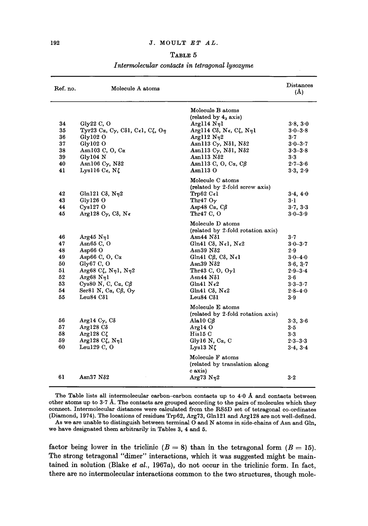*Intermolecular contacts in tetragonal lysozyme* 

| Ref. no.                                                 | Molecule A atoms                                                                                                                                                                                                                                             |                                                                                                                                                                                                                                                                                                                            | Distances<br>(A)                                                                                                     |
|----------------------------------------------------------|--------------------------------------------------------------------------------------------------------------------------------------------------------------------------------------------------------------------------------------------------------------|----------------------------------------------------------------------------------------------------------------------------------------------------------------------------------------------------------------------------------------------------------------------------------------------------------------------------|----------------------------------------------------------------------------------------------------------------------|
| 34<br>35<br>36<br>37<br>38<br>39<br>40<br>41             | Gly $22 \,$ C, O<br>Tyr23 Cα, Cγ, Cδ1, Cε1, Cζ, Oη<br>Gly102 O<br>Gly102O<br>Asn103 C, O, C $\alpha$<br>Glv104 N<br>Asn106 $C_{\gamma}$ , N $\delta$ 2<br>Lys116 $C_{\epsilon}$ , NZ                                                                         | Molecule B atoms<br>(related by 4 <sub>3</sub> axis)<br>Arg114 Nn1<br>Argl14 Cδ, Νε, Cζ, Νηl<br>Argll2 $N_{\eta}$ 2<br>Asn113 Cγ, Nδ1, Nδ2<br>Asn113 $C_{\gamma}$ , N $\delta$ 1, N $\delta$ 2<br>$Asn113 N\delta2$<br>Asn113 C, O, C $\alpha$ , C $\beta$<br>Asn113 O                                                     | 3.8, 3.0<br>$3.0 - 3.8$<br>3.7<br>$3.0 - 3.7$<br>$3.3 - 3.8$<br>3.3<br>$2.7 - 3.6$<br>3.3, 2.9                       |
| 42<br>43<br>44<br>45                                     | Gln121 C $\delta$ , N $\eta$ 2<br>$Gly126$ O<br>$Cys127$ O<br>Arg128 Cγ, Cδ, Nε                                                                                                                                                                              | Molecule C atoms<br>(related by 2-fold screw axis)<br>Trp62 $C_{\epsilon}$ 1<br>Thr47 $O_{\gamma}$<br>Asp48 C $\alpha$ , C $\beta$<br>Thr47 C, O                                                                                                                                                                           | 3.4, 4.0<br>$3 \cdot 1$<br>3.7, 3.3<br>$3 - 0 - 3 - 9$                                                               |
| 46<br>47<br>48<br>49<br>50<br>51<br>52<br>53<br>54<br>55 | Arg45 Nn1<br>Asn $65$ C, O<br>Asp $66$ O<br>Asp66 C, O, C $\alpha$<br>Gly67 C, O<br>Arg68 Cζ, $N_{\eta}$ 1, $N_{\eta}$ 2<br>Arg68 $N_{\eta}$ 1<br>Cys80 N, C, C $\alpha$ , C $\beta$<br>Ser81 N, C $\alpha$ , C $\beta$ , O $\gamma$<br>Leu $84 \text{ C}81$ | Molecule D atoms<br>(related by 2-fold rotation axis)<br>Asn $44$ N $\delta$ 1<br>Gln41 Cô, Nel, Ne2<br>Asn $39$ N $\delta$ 2<br>Gln41 C $\beta$ , C $\delta$ , N $\epsilon$ 1<br>$Asn39 N\delta2$<br>Thr43 C, O, $0\nu$ 1<br>$Asn44 N\delta1$<br>Gln41 $N_{\epsilon}$ 2<br>Gln41 C $\delta$ , N $\epsilon$ 2<br>Leu84 C81 | $3\cdot 7$<br>$3.0 - 3.7$<br>2.9<br>$3.0 - 4.0$<br>3.6, 3.7<br>$2.9 - 3.4$<br>3·6<br>$3-3-3-7$<br>$2.8 - 4.0$<br>3.9 |
| 56<br>57<br>58<br>59<br>60<br>61                         | Arg14 $Cγ$ , $Cδ$<br>$Arg128C\delta$<br>Arg128 $C\zeta$<br>Arg128 $C\zeta$ , Nnl<br>Leul $29 \,$ C, O<br>Asn $37$ N $\delta2$                                                                                                                                | Molecule E atoms<br>(related by 2-fold rotation axis)<br>Ala $10 \text{ } C\beta$<br>Arg140<br>His15C<br>Gly16 N, $Ca$ , C<br>Lys13 $N\zeta$<br>Molecule F atoms<br>(related by translation along<br>c axis)<br>Arg73 $N_{\eta}2$                                                                                          | 3.3, 3.6<br>$3-5$<br>3·3<br>$2.3 - 3.3$<br>3.4, 3.4<br>3.2                                                           |

The Table lists all intermolecular carbon-carbon contacts up to  $4.0$  Å and contacts between other atoms up to 3.7 A. The contacts are grouped according to the pairs of molecules which they connect. Intermoleeular distances were calculated from the RS5D set of tetragonal co-ordinates (Diamond, 1974). The locations of residues Trp62, Arg73, Glnl21 and Arg128 are not well-defined.

As we are unable to distinguish between terminal O and N atoms in side-chains of Asn and Gln, we have designated them arbitrarily in Tables 3, 4 and 5.

factor being lower in the triclinic  $(B = 8)$  than in the tetragonal form  $(B = 15)$ . The strong tetragonal "dimer" interactions, which it was suggested might be maintained in solution (Blake *et al.,* 1967a), do not occur in the triclinic form. In fact, there are no intermolecular interactions common to the two structures, though mole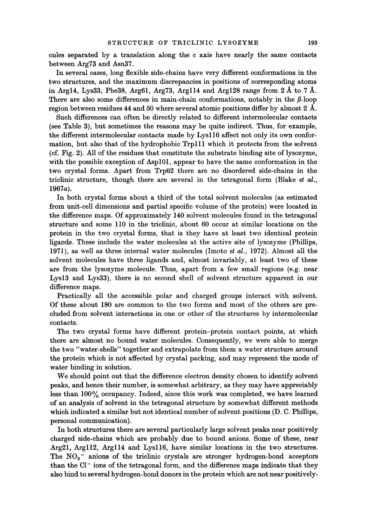cules separated by a translation along the c axis have nearly the same contacts between Arg73 and Ash37.

In several cases, long flexible side-chains have very different conformations in the two structures, and the maximum discrepancies in positions of corresponding atoms in Arg14, Lys33, Phe38, Arg61, Arg73, Arg114 and Arg128 range from  $2 \text{ Å}$  to  $7 \text{ Å}$ . There are also some differences in main-chain conformations, notably in the  $\beta$ -loop region between residues 44 and 50 where several atomic positions differ by almost  $2~\text{\AA}$ .

Such differences can often be directly related to different intermolecular contacts (see Table 3), but sometimes the reasons may be quite indirect. Thus, for example, the different intermolecular contacts made by Lysll6 affect not only its own conformation, but also that of the hydrophobic Trpl 11 which it protects from the solvent (cf. Fig. 2). All of the residues that constitute the substrate binding site of lysozyme, with the possible exception of Aspl01, appear to have the same conformation in the two crystal forms. Apart from Trp62 there are no disordered side-chains in the triclinic structure, though there are several in the tetragonal form (Blake *et al.*, 1967a).

In both crystal forms about a third of the total solvent molecules (as estimated from unit-cell dimensions and partial specific volume of the protein) were located in the difference maps. Of approximately 140 solvent molecules found in the tetragonal structure and some 110 in the tricliuic, about 60 occur at similar locations on the protein in the two crystal forms, that is they have at least two identical protein ligands. These include the water molecules at the active site of lysozyme (Phillips, 1971), as well as three internal water molecules (Imoto *et al.,* 1972). Almost all the solvent molecules have three ligands and, almost invariably, at least two of these are from the lysozyme molecule. Thus, apart from a few small regions (e.g. near Lysl3 and Lys33), there is no second shell of solvent structure apparent in our difference maps.

Practically all the accessible polar and charged groups interact with solvent. Of these about 180 are common to the two forms and most of the others are precluded from solvent interactions in one or other of the structures by intermolecular contacts.

The two crystal forms have different protein-protein contact points, at which there are almost no bound water molecules. Consequently, we were able to merge the two "water-shells" together and extrapolate from them a water structure around the protein which is not affected by crystal packing, and may represent the mode of water binding in solution.

We should point out that the difference electron density chosen to identify solvent peaks, and hence their number, is somewhat arbitrary, as they may have appreciably less than 100% occupancy. Indeed, since this work was completed, we have learned of an analysis of solvent in the tetragonal structure by somewhat different methods which indicated a similar but not identical number of solvent positions (D. C. Phillips, personal communication).

In both structures there are several particularly large solvent peaks near positively charged side-chains which are probably due to bound anions. Some of these, near Arg21, Argll2, Argll4 and Lysll6, have similar locations in the two structures. The  $NO<sub>3</sub>$  anions of the triclinic crystals are stronger hydrogen-bond acceptors than the  $Cl^-$  ions of the tetragonal form, and the difference maps indicate that they also bind to several hydrogen-bond donors in the protein which are not near positively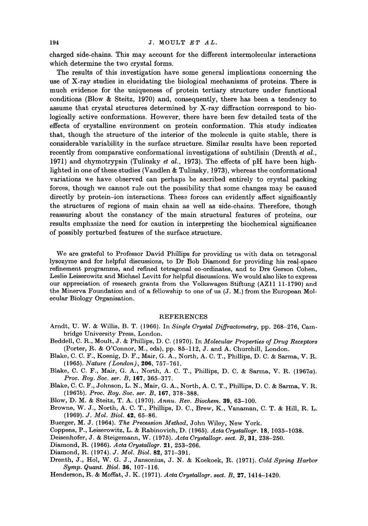charged side-chains. This may account for the different intermolecular interactions which determine the two crystal forms.

The results of this investigation have some general implications concerning the use of X-ray studies in elucidating the biological mechanisms of proteins. There is much evidence for the uniqueness of protein tertiary structure under functional conditions (Blow & Steitz, 1970) and, consequently, there has been a tendency to assume that crystal structures determined by X-ray diffraction correspond to biologically active conformations. However, there have been few detailed tests of the effects of crystalline environment on protein conformation. This study indicates that, though the structure of the interior of the molecule is quite stable, there is considerable variability in the surface structure. Similar results have been reported recently from comparative conformational investigations of subtilisin (Drenth *et al.,*  1971) and chymotrypsin (Tulinsky *et al.,* 1973). The effects of pH have been highlighted in one of these studies (Vandlen & Tulinsky, 1973), whereas the conformational variations we have observed can perhaps be ascribed entirely to crystal packing forces, though we cannot rule out the possibility that some changes may be caused directly by protein-ion interactions. These forces can evidently affect significantly the structures of regions of main chain as well as side-chains. Therefore, though reassuring about the constancy of the main structural features of proteins, our results emphasize the need for caution in interpreting the biochemical significance of possibly perturbed features of the surface structure.

We are grateful to Professor David Phillips for providing us with data on tetragonal lysozyme and for helpful discussions, to Dr Bob Diamond for providing his real.-space refinement programme, and refined tetragonal co-ordinates, and to Drs Gerson Cohen, Leslie Leiserowitz and Michael Levitt for helpful discussions. We would also like to express our appreciation of research grants from the Volkswagen Stiftung (AZ11 11-1790) and the Minerva Foundation and of a fellowship to one of us (J. M.) from the European Molecular Biology Organisation.

#### **REFERENCES**

- Arndt, U. W. & Willis, B. T. (1966). In *Single Crystal Diffractometry,* pp. 268-276, Cambridge University Press, London.
- Beddell, C. R., Moult, J. & Phillips, D. C. (1970). In *Molecular Properties of Drug Receptors*  (Porter, R. & O'Connor, M., eds), pp. 85-112, J. and A. Churchill, London.
- Blake, C. C. F., Koenig, D. F., Muir, G. A., North, A. C. T., Phillips, D. C. & Sarma, V. R. {1965). *Nature (London),* 206, 757-761.
- Blake, C. C. F., Mair, G. A., North, A. C. T., Phillips, D. C. & Sarma, V. R. (1967a). *Proc. Roy. Soc. set. B,* 167, 365-377.
- Blake, C. C. F., Johnson, L. N., Muir, G. A., North, A. C. T., Phillips, D. C. & Sarma, V. R. (1967b). *Proc. Roy. Soc. ser. B,* 167, 378-388.
- Blow, D. M. & Steitz, T. A. (1970). *Annu. Rev. Bioehem.* 39, 63-100.
- Browne, W. J., North, A. C. T., Phillips, D. C., Brew, K., Vanaman, C. T. & Hill, R. L. (1969). *J. Mol. Biol.* 42, 65-86.
- Buerger, M. J. (1964). *The Precession Method,* John Wiley, New York.
- Coppens, P., Leiserowitz, L. & Rabinovich, D. (1965). *Acta Crystallogr.* 18, 1035-1038.
- Deisenhofer, J. & Steigemann, W. {1975). *Acta Crystallogr. sect. B,* 31,238-250.
- Diamond, R. (1966). *Acta Crystallogr.* 21,253-266.
- Diamond, R. (1974). *J. Mol. Biol.* 82, 371-391.
- Drenth, J., Hol, W. G. J., Jansonius, J. N. & Koekoek, R. (1971). *Cold Spring Harbor Syrup. Quant. Biol.* 86, 107-116.
- Henderson, R. & Moffat, J. K. (1971). *Acta Crystallogr. sect. B,* 27, 1414-1420.